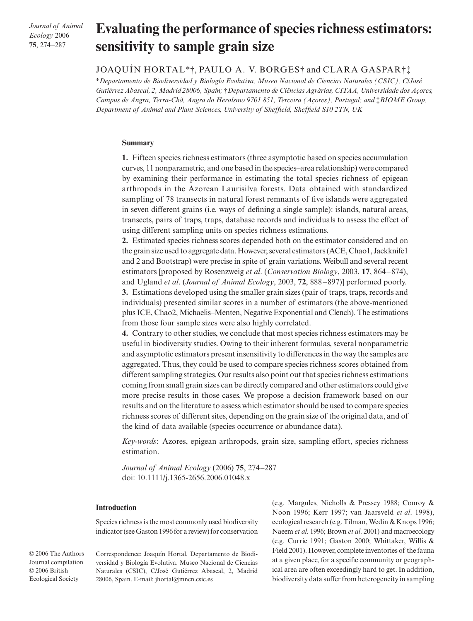*Journal of Animal Ecology* 2006 **75**, 274–287

# Evaluating the performance of species richness estimators: **sensitivity to sample grain size**

# JOAQUÍN HORTAL\*†, PAULO A. V. BORGES† and CLARA GASPAR†‡

\**Departamento de Biodiversidad y Biología Evolutiva, Museo Nacional de Ciencias Naturales (CSIC), C/José Gutiérrez Abascal, 2, Madrid 28006, Spain;* †*Departamento de Ciências Agrárias, CITAA, Universidade dos Açores, Campus de Angra, Terra-Chã, Angra do Heroísmo 9701 851, Terceira (Açores), Portugal; and* ‡*BIOME Group, Department of Animal and Plant Sciences, University of Sheffield, Sheffield S10 2TN, UK* 

## **Summary**

**1.** Fifteen species richness estimators (three asymptotic based on species accumulation curves, 11 nonparametric, and one based in the species–area relationship) were compared by examining their performance in estimating the total species richness of epigean arthropods in the Azorean Laurisilva forests. Data obtained with standardized sampling of 78 transects in natural forest remnants of five islands were aggregated in seven different grains (i.e. ways of defining a single sample): islands, natural areas, transects, pairs of traps, traps, database records and individuals to assess the effect of using different sampling units on species richness estimations.

**2.** Estimated species richness scores depended both on the estimator considered and on the grain size used to aggregate data. However, several estimators (ACE, Chao1, Jackknife1 and 2 and Bootstrap) were precise in spite of grain variations. Weibull and several recent estimators [proposed by Rosenzweig *et al*. (*Conservation Biology*, 2003, **17**, 864–874), and Ugland *et al*. (*Journal of Animal Ecology*, 2003, **72**, 888–897)] performed poorly. **3.** Estimations developed using the smaller grain sizes (pair of traps, traps, records and individuals) presented similar scores in a number of estimators (the above-mentioned plus ICE, Chao2, Michaelis–Menten, Negative Exponential and Clench). The estimations from those four sample sizes were also highly correlated.

**4.** Contrary to other studies, we conclude that most species richness estimators may be useful in biodiversity studies. Owing to their inherent formulas, several nonparametric and asymptotic estimators present insensitivity to differences in the way the samples are aggregated. Thus, they could be used to compare species richness scores obtained from different sampling strategies. Our results also point out that species richness estimations coming from small grain sizes can be directly compared and other estimators could give more precise results in those cases. We propose a decision framework based on our results and on the literature to assess which estimator should be used to compare species richness scores of different sites, depending on the grain size of the original data, and of the kind of data available (species occurrence or abundance data).

*Key-words*: Azores, epigean arthropods, grain size, sampling effort, species richness estimation.

*Journal of Animal Ecology* (2006) **75**, 274–287 doi: 10.1111/j.1365-2656.2006.01048.x

# **Introduction**

Species richness is the most commonly used biodiversity indicator (see Gaston 1996 for a review) for conservation

© 2006 The Authors Journal compilation © 2006 British Ecological Society

Correspondence: Joaquín Hortal, Departamento de Biodiversidad y Biología Evolutiva. Museo Nacional de Ciencias Naturales (CSIC), C/José Gutiérrez Abascal, 2, Madrid 28006, Spain. E-mail: jhortal@mncn.csic.es

(e.g. Margules, Nicholls & Pressey 1988; Conroy & Noon 1996; Kerr 1997; van Jaarsveld *et al*. 1998), ecological research (e.g. Tilman, Wedin & Knops 1996; Naeem *et al*. 1996; Brown *et al*. 2001) and macroecology (e.g. Currie 1991; Gaston 2000; Whittaker, Willis & Field 2001). However, complete inventories of the fauna at a given place, for a specific community or geographical area are often exceedingly hard to get. In addition, biodiversity data suffer from heterogeneity in sampling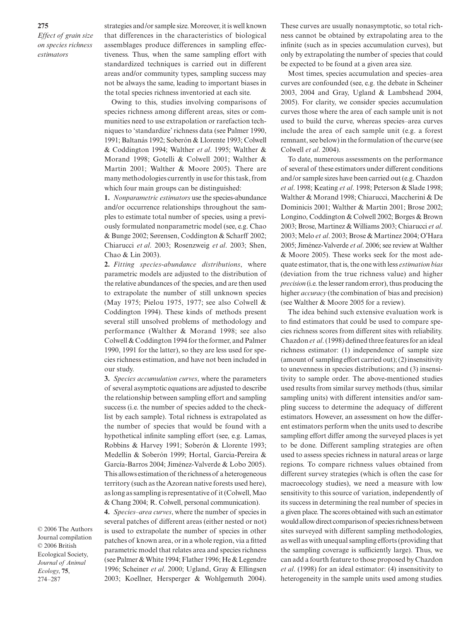strategies and/or sample size. Moreover, it is well known that differences in the characteristics of biological assemblages produce differences in sampling effectiveness. Thus, when the same sampling effort with standardized techniques is carried out in different areas and/or community types, sampling success may not be always the same, leading to important biases in the total species richness inventoried at each site.

Owing to this, studies involving comparisons of species richness among different areas, sites or communities need to use extrapolation or rarefaction techniques to 'standardize' richness data (see Palmer 1990, 1991; Baltanás 1992; Soberón & Llorente 1993; Colwell & Coddington 1994; Walther *et al*. 1995; Walther & Morand 1998; Gotelli & Colwell 2001; Walther & Martin 2001; Walther & Moore 2005). There are many methodologies currently in use for this task, from which four main groups can be distinguished:

**1.** *Nonparametric estimators* use the species-abundance and/or occurrence relationships throughout the samples to estimate total number of species, using a previously formulated nonparametric model (see, e.g. Chao & Bunge 2002; Sørensen, Coddington & Scharff 2002; Chiarucci *et al*. 2003; Rosenzweig *et al*. 2003; Shen, Chao & Lin 2003).

**2.** *Fitting species-abundance distributions*, where parametric models are adjusted to the distribution of the relative abundances of the species, and are then used to extrapolate the number of still unknown species (May 1975; Pielou 1975, 1977; see also Colwell & Coddington 1994). These kinds of methods present several still unsolved problems of methodology and performance (Walther & Morand 1998; see also Colwell & Coddington 1994 for the former, and Palmer 1990, 1991 for the latter), so they are less used for species richness estimation, and have not been included in our study.

**3.** *Species accumulation curves*, where the parameters of several asymptotic equations are adjusted to describe the relationship between sampling effort and sampling success (i.e. the number of species added to the checklist by each sample). Total richness is extrapolated as the number of species that would be found with a hypothetical infinite sampling effort (see, e.g. Lamas, Robbins & Harvey 1991; Soberón & Llorente 1993; Medellín & Soberón 1999; Hortal, Garcia-Pereira & García-Barros 2004; Jiménez-Valverde & Lobo 2005). This allows estimation of the richness of a heterogeneous territory (such as the Azorean native forests used here), as long as sampling is representative of it (Colwell, Mao & Chang 2004; R. Colwell, personal communication).

**4.** *Species–area curves*, where the number of species in several patches of different areas (either nested or not) is used to extrapolate the number of species in other patches of known area, or in a whole region, via a fitted parametric model that relates area and species richness (see Palmer & White 1994; Flather 1996; He & Legendre 1996; Scheiner *et al*. 2000; Ugland, Gray & Ellingsen 2003; Koellner, Hersperger & Wohlgemuth 2004).

These curves are usually nonasymptotic, so total richness cannot be obtained by extrapolating area to the infinite (such as in species accumulation curves), but only by extrapolating the number of species that could be expected to be found at a given area size.

Most times, species accumulation and species–area curves are confounded (see, e.g. the debate in Scheiner 2003, 2004 and Gray, Ugland & Lambshead 2004, 2005). For clarity, we consider species accumulation curves those where the area of each sample unit is not used to build the curve, whereas species–area curves include the area of each sample unit (e.g. a forest remnant, see below) in the formulation of the curve (see Colwell *et al*. 2004).

To date, numerous assessments on the performance of several of these estimators under different conditions and/or sample sizes have been carried out (e.g. Chazdon *et al*. 1998; Keating *et al*. 1998; Peterson & Slade 1998; Walther & Morand 1998; Chiarucci, Maccherini & De Dominicis 2001; Walther & Martin 2001; Brose 2002; Longino, Coddington & Colwell 2002; Borges & Brown 2003; Brose, Martinez & Williams 2003; Chiarucci *et al*. 2003; Melo *et al*. 2003; Brose & Martinez 2004; O'Hara 2005; Jiménez-Valverde *et al*. 2006; see review at Walther & Moore 2005). These works seek for the most adequate estimator, that is, the one with less *estimation bias* (deviation from the true richness value) and higher *precision* (i.e. the lesser random error), thus producing the higher *accuracy* (the combination of bias and precision) (see Walther & Moore 2005 for a review).

The idea behind such extensive evaluation work is to find estimators that could be used to compare species richness scores from different sites with reliability. Chazdon *et al*. (1998) defined three features for an ideal richness estimator: (1) independence of sample size (amount of sampling effort carried out); (2) insensitivity to unevenness in species distributions; and (3) insensitivity to sample order. The above-mentioned studies used results from similar survey methods (thus, similar sampling units) with different intensities and/or sampling success to determine the adequacy of different estimators. However, an assessment on how the different estimators perform when the units used to describe sampling effort differ among the surveyed places is yet to be done. Different sampling strategies are often used to assess species richness in natural areas or large regions. To compare richness values obtained from different survey strategies (which is often the case for macroecology studies), we need a measure with low sensitivity to this source of variation, independently of its success in determining the real number of species in a given place. The scores obtained with such an estimator would allow direct comparison of species richness between sites surveyed with different sampling methodologies, as well as with unequal sampling efforts (providing that the sampling coverage is sufficiently large). Thus, we can add a fourth feature to those proposed by Chazdon *et al*. (1998) for an ideal estimator: (4) insensitivity to heterogeneity in the sample units used among studies.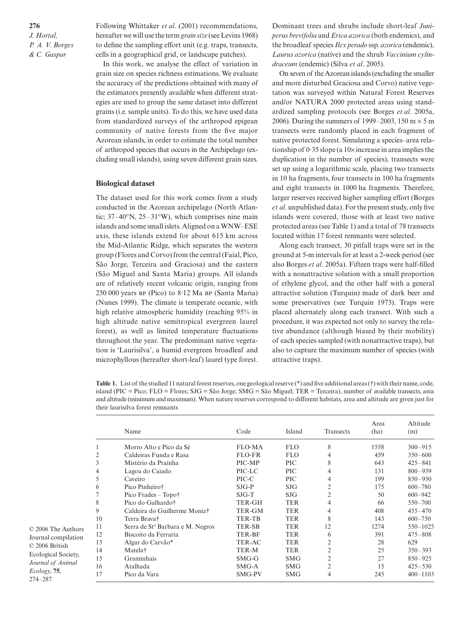Following Whittaker *et al*. (2001) recommendations, hereafter we will use the term *grain size* (see Levins 1968) to define the sampling effort unit (e.g. traps, transects, cells in a geographical grid, or landscape patches).

In this work, we analyse the effect of variation in grain size on species richness estimations. We evaluate the accuracy of the predictions obtained with many of the estimators presently available when different strategies are used to group the same dataset into different grains (i.e. sample units). To do this, we have used data from standardized surveys of the arthropod epigean community of native forests from the five major Azorean islands, in order to estimate the total number of arthropod species that occurs in the Archipelago (excluding small islands), using seven different grain sizes.

#### **Biological dataset**

The dataset used for this work comes from a study conducted in the Azorean archipelago (North Atlantic; 37–40°N, 25–31°W), which comprises nine main islands and some small islets. Aligned on a WNW–ESE axis, these islands extend for about 615 km across the Mid-Atlantic Ridge, which separates the western group (Flores and Corvo) from the central (Faial, Pico, São Jorge, Terceira and Graciosa) and the eastern (São Miguel and Santa Maria) groups. All islands are of relatively recent volcanic origin, ranging from  $250\,000$  years BP (Pico) to  $8.12$  Ma BP (Santa Maria) (Nunes 1999). The climate is temperate oceanic, with high relative atmospheric humidity (reaching 95% in high altitude native semitropical evergreen laurel forest), as well as limited temperature fluctuations throughout the year. The predominant native vegetation is 'Laurisilva', a humid evergreen broadleaf and microphyllous (hereafter short-leaf) laurel type forest.

Dominant trees and shrubs include short-leaf *Juniperus brevifolia* and *Erica azorica* (both endemics), and the broadleaf species *Ilex perado* ssp. *azorica* (endemic), *Laurus azorica* (native) and the shrub *Vaccinium cylindraceum* (endemic) (Silva *et al*. 2005).

On seven of the Azorean islands (excluding the smaller and more disturbed Graciosa and Corvo) native vegetation was surveyed within Natural Forest Reserves and/or NATURA 2000 protected areas using standardized sampling protocols (see Borges *et al*. 2005a, 2006). During the summers of 1999–2003, 150 m  $\times$  5 m transects were randomly placed in each fragment of native protected forest. Simulating a species–area relationship of 0·35 slope (a 10× increase in area implies the duplication in the number of species), transects were set up using a logarithmic scale, placing two transects in 10 ha fragments, four transects in 100 ha fragments and eight transects in 1000 ha fragments. Therefore, larger reserves received higher sampling effort (Borges *et al*. unpublished data). For the present study, only five islands were covered, those with at least two native protected areas (see Table 1) and a total of 78 transects located within 17 forest remnants were selected.

Along each transect, 30 pitfall traps were set in the ground at 5-m intervals for at least a 2-week period (see also Borges *et al*. 2005a). Fifteen traps were half-filled with a nonattractive solution with a small proportion of ethylene glycol, and the other half with a general attractive solution (Turquin) made of dark beer and some preservatives (see Turquin 1973). Traps were placed alternately along each transect. With such a procedure, it was expected not only to survey the relative abundance (although biased by their mobility) of each species sampled (with nonattractive traps), but also to capture the maximum number of species (with attractive traps).

**Table 1.** List of the studied 11 natural forest reserves, one geological reserve (\*) and five additional areas (†) with their name, code, island (PIC = Pico; FLO = Flores; SJG = São Jorge; SMG = São Miguel; TER = Terceira), number of available transects, area and altitude (minimum and maximum). When nature reserves correspond to different habitats, area and altitude are given just for their laurisilva forest remnants

|                | Name                                         | Code          | Island     | <b>Transects</b> | Area<br>(ha) | Altitude<br>(m) |
|----------------|----------------------------------------------|---------------|------------|------------------|--------------|-----------------|
|                | Morro Alto e Pico da Sé                      | FLO-MA        | <b>FLO</b> | 8                | 1558         | $300 - 915$     |
| $\overline{2}$ | Caldeiras Funda e Rasa                       | <b>FLO-FR</b> | <b>FLO</b> | 4                | 459          | $350 - 600$     |
| 3              | Mistério da Prainha                          | PIC-MP        | <b>PIC</b> | 8                | 643          | $425 - 841$     |
| 4              | Lagoa do Caiado                              | PIC-LC        | <b>PIC</b> | 4                | 131          | $800 - 939$     |
| 5              | Caveiro                                      | PIC-C         | <b>PIC</b> | 4                | 199          | $850 - 950$     |
| 6              | Pico Pinheiro†                               | $SJG-P$       | SJG        | $\overline{2}$   | 175          | $600 - 780$     |
| 7              | Pico Frades - Topo†                          | $SJG-T$       | SJG        | $\overline{2}$   | 50           | $600 - 942$     |
| 8              | Pico do Galhardo <sup>†</sup>                | <b>TER-GH</b> | <b>TER</b> | 4                | 66           | $550 - 700$     |
| 9              | Caldeira do Guilherme Moniz†                 | TER-GM        | <b>TER</b> | 4                | 408          | $455 - 470$     |
| 10             | Terra Brava†                                 | <b>TER-TB</b> | <b>TER</b> | 8                | 143          | $600 - 750$     |
| 11             | Serra de St <sup>a</sup> Barbara e M. Negros | <b>TER-SB</b> | <b>TER</b> | 12               | 1274         | $550 - 1025$    |
| 12             | Biscoito da Ferraria                         | TER-BF        | <b>TER</b> | 6                | 391          | $475 - 808$     |
| 13             | Algar do Carvão*                             | TER-AC        | <b>TER</b> | $\overline{2}$   | 28           | 629             |
| 14             | Matela†                                      | TER-M         | <b>TER</b> | $\overline{2}$   | 25           | $350 - 393$     |
| 15             | Graminhais                                   | $SMG-G$       | <b>SMG</b> | $\overline{2}$   | 27           | $850 - 925$     |
| 16             | Atalhada                                     | SMG-A         | <b>SMG</b> | $\overline{2}$   | 15           | $425 - 530$     |
| 17             | Pico da Vara                                 | SMG-PV        | <b>SMG</b> | 4                | 245          | $400 - 1103$    |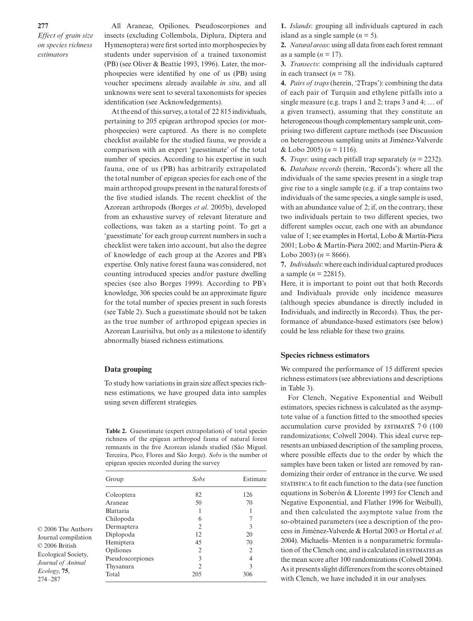All Araneae, Opiliones, Pseudoscorpiones and insects (excluding Collembola, Diplura, Diptera and Hymenoptera) were first sorted into morphospecies by students under supervision of a trained taxonomist (PB) (see Oliver & Beattie 1993, 1996). Later, the morphospecies were identified by one of us (PB) using voucher specimens already available *in situ*, and all unknowns were sent to several taxonomists for species identification (see Acknowledgements).

Atthe end of this survey, a total of 22 815 individuals, pertaining to 205 epigean arthropod species (or morphospecies) were captured. As there is no complete checklist available for the studied fauna, we provide a comparison with an expert 'guesstimate' of the total number of species. According to his expertise in such fauna, one of us (PB) has arbitrarily extrapolated the total number of epigean species for each one of the main arthropod groups present in the natural forests of the five studied islands. The recent checklist of the Azorean arthropods (Borges *et al*. 2005b), developed from an exhaustive survey of relevant literature and collections, was taken as a starting point. To get a 'guesstimate' for each group current numbers in such a checklist were taken into account, but also the degree of knowledge of each group at the Azores and PB's expertise. Only native forest fauna was considered, not counting introduced species and/or pasture dwelling species (see also Borges 1999). According to PB's knowledge, 306 species could be an approximate figure for the total number of species present in such forests (see Table 2). Such a guesstimate should not be taken as the true number of arthropod epigean species in Azorean Laurisilva, but only as a milestone to identify abnormally biased richness estimations.

#### **Data grouping**

© 2006 The Authors Journal compilation © 2006 British Ecological Society, *Journal of Animal Ecology*, **75**, 274–287

To study how variations in grain size affect species richness estimations, we have grouped data into samples using seven different strategies.

**Table 2.** Guesstimate (expert extrapolation) of total species richness of the epigean arthropod fauna of natural forest remnants in the five Azorean islands studied (São Miguel, Terceira, Pico, Flores and São Jorge). *Sobs* is the number of epigean species recorded during the survey

| Group            | Sobs           | Estimate       |  |  |
|------------------|----------------|----------------|--|--|
| Coleoptera       | 82             | 126            |  |  |
| Araneae          | 50             | 70             |  |  |
| Blattaria        |                |                |  |  |
| Chilopoda        | 6              |                |  |  |
| Dermaptera       | $\overline{2}$ | 3              |  |  |
| Diplopoda        | 12             | 20             |  |  |
| Hemiptera        | 45             | 70             |  |  |
| Opiliones        | $\overline{c}$ | $\overline{2}$ |  |  |
| Pseudoscorpiones | 3              | 4              |  |  |
| Thysanura        | $\mathcal{D}$  | 3              |  |  |
| Total            | 205            | 306            |  |  |

**1.** *Islands*: grouping all individuals captured in each island as a single sample  $(n = 5)$ .

**2.** *Natural areas*: using all data from each forest remnant as a sample  $(n = 17)$ .

**3.** *Transects*: comprising all the individuals captured in each transect  $(n = 78)$ .

**4.** *Pairs of traps* (herein, '2Traps'): combining the data of each pair of Turquin and ethylene pitfalls into a single measure (e.g. traps 1 and 2; traps 3 and 4; … of a given transect), assuming that they constitute an heterogeneous though complementary sample unit, comprising two different capture methods (see Discussion on heterogeneous sampling units at Jiménez-Valverde & Lobo 2005) (*n* = 1116).

**5.** *Traps*: using each pitfall trap separately (*n* = 2232). **6.** *Database records* (herein, 'Records'): where all the individuals of the same species present in a single trap give rise to a single sample (e.g. if a trap contains two individuals of the same species, a single sample is used, with an abundance value of 2; if, on the contrary, these two individuals pertain to two different species, two different samples occur, each one with an abundance value of 1; see examples in Hortal, Lobo & Martín-Piera 2001; Lobo & Martín-Piera 2002; and Martín-Piera & Lobo 2003) ( $n = 8666$ ).

**7.** *Individuals*: where each individual captured produces a sample ( $n = 22815$ ).

Here, it is important to point out that both Records and Individuals provide only incidence measures (although species abundance is directly included in Individuals, and indirectly in Records). Thus, the performance of abundance-based estimators (see below) could be less reliable for these two grains.

#### **Species richness estimators**

We compared the performance of 15 different species richness estimators (see abbreviations and descriptions in Table 3).

For Clench, Negative Exponential and Weibull estimators, species richness is calculated as the asymptote value of a function fitted to the smoothed species accumulation curve provided by ESTIMATES  $7.0$  (100 randomizations; Colwell 2004). This ideal curve represents an unbiased description of the sampling process, where possible effects due to the order by which the samples have been taken or listed are removed by randomizing their order of entrance in the curve. We used STATISTICA to fit each function to the data (see function equations in Soberón & Llorente 1993 for Clench and Negative Exponential, and Flather 1996 for Weibull), and then calculated the asymptote value from the so-obtained parameters (see a description of the process in Jiménez-Valverde & Hortal 2003 or Hortal *et al*. 2004). Michaelis–Menten is a nonparametric formulation of the Clench one, and is calculated in ESTIMATES as the mean score after 100 randomizations (Colwell 2004). As it presents slight differences from the scores obtained with Clench, we have included it in our analyses.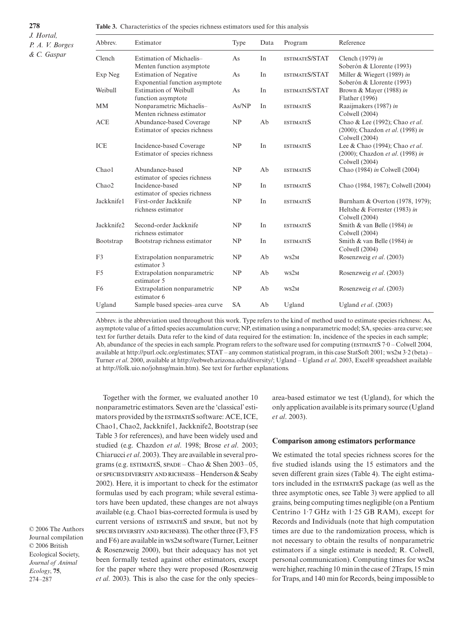**278**

**Table 3.** Characteristics of the species richness estimators used for this analysis

| Abbrev.        | Estimator                                                       | Type      | Data | Program          | Reference                                                                            |
|----------------|-----------------------------------------------------------------|-----------|------|------------------|--------------------------------------------------------------------------------------|
| Clench         | Estimation of Michaelis-<br>Menten function asymptote           | As        | In   | ESTIMATES/STAT   | Clench $(1979)$ in<br>Soberón & Llorente (1993)                                      |
| Exp Neg        | <b>Estimation of Negative</b><br>Exponential function asymptote | As        | In   | ESTIMATES/STAT   | Miller & Wiegert (1989) in<br>Soberón & Llorente (1993)                              |
| Weibull        | Estimation of Weibull<br>function asymptote                     | As        | In.  | ESTIMATES/STAT   | Brown & Mayer (1988) in<br>Flather (1996)                                            |
| <b>MM</b>      | Nonparametric Michaelis-<br>Menten richness estimator           | As/NP     | In   | <b>ESTIMATES</b> | Raaijmakers (1987) in<br>Colwell (2004)                                              |
| <b>ACE</b>     | Abundance-based Coverage<br>Estimator of species richness       | NP        | Ab   | <b>ESTIMATES</b> | Chao & Lee (1992); Chao et al.<br>(2000); Chazdon et al. (1998) in<br>Colwell (2004) |
| <b>ICE</b>     | Incidence-based Coverage<br>Estimator of species richness       | NP        | In   | <b>ESTIMATES</b> | Lee & Chao (1994); Chao et al.<br>(2000); Chazdon et al. (1998) in<br>Colwell (2004) |
| Chaol          | Abundance-based<br>estimator of species richness                | NP        | Ab   | <b>ESTIMATES</b> | Chao (1984) in Colwell (2004)                                                        |
| Chao2          | Incidence-based<br>estimator of species richness                | NP        | In.  | <b>ESTIMATES</b> | Chao (1984, 1987); Colwell (2004)                                                    |
| Jackknife1     | First-order Jackknife<br>richness estimator                     | NP        | In   | <b>ESTIMATES</b> | Burnham & Overton (1978, 1979);<br>Heltshe & Forrester (1983) in<br>Colwell (2004)   |
| Jackknife2     | Second-order Jackknife<br>richness estimator                    | NP        | In   | <b>ESTIMATES</b> | Smith & van Belle (1984) in<br>Colwell (2004)                                        |
| Bootstrap      | Bootstrap richness estimator                                    | NP        | In   | <b>ESTIMATES</b> | Smith & van Belle (1984) in<br>Colwell (2004)                                        |
| F <sub>3</sub> | Extrapolation nonparametric<br>estimator 3                      | NP        | Ab   | ws2M             | Rosenzweig et al. (2003)                                                             |
| F <sub>5</sub> | Extrapolation nonparametric<br>estimator 5                      | NP        | Ab   | ws2M             | Rosenzweig et al. (2003)                                                             |
| F <sub>6</sub> | Extrapolation nonparametric<br>estimator 6                      | NP        | Ab   | ws2M             | Rosenzweig et al. (2003)                                                             |
| Ugland         | Sample based species-area curve                                 | <b>SA</b> | Ab   | Ugland           | Ugland $et$ al. (2003)                                                               |

Abbrev. is the abbreviation used throughout this work. Type refers to the kind of method used to estimate species richness: As, asymptote value of a fitted species accumulation curve; NP, estimation using a nonparametric model; SA, species–area curve; see text for further details. Data refer to the kind of data required for the estimation: In, incidence of the species in each sample; Ab, abundance of the species in each sample. Program refers to the software used for computing (ESTIMATES 7.0 – Colwell 2004, available at [http://purl.oclc.org/estimates;](http://purl.oclc.org/estimates) STAT – any common statistical program, in this case StatSoft 2001; ws2m 3·2 (beta) – Turner *et al*. 2000, available at [http://eebweb.arizona.edu/diversity/;](http://eebweb.arizona.edu/diversity/) Ugland – Ugland *et al*. 2003, Excel® spreadsheet available at [http://folk.uio.no/johnsg/main.htm\).](http://folk.uio.no/johnsg/main.htm) See text for further explanations.

Together with the former, we evaluated another 10 nonparametric estimators. Seven are the 'classical' estimators provided by the ESTIMATES software: ACE, ICE, Chao1, Chao2, Jackknife1, Jackknife2, Bootstrap (see Table 3 for references), and have been widely used and studied (e.g. Chazdon *et al*. 1998; Brose *et al*. 2003; Chiarucci *et al*. 2003). They are available in several programs (e.g. ESTIMATES,  $SPADE - Chao & Shen 2003-05$ , or SPECIES DIVERSITY AND RICHNESS - Henderson & Seaby 2002). Here, it is important to check for the estimator formulas used by each program; while several estimators have been updated, these changes are not always available (e.g. Chao1 bias-corrected formula is used by current versions of ESTIMATES and SPADE, but not by species diversity and richness). The other three (F3, F5 and F6) are available in ws2M software (Turner, Leitner & Rosenzweig 2000), but their adequacy has not yet been formally tested against other estimators, except for the paper where they were proposed (Rosenzweig *et al*. 2003). This is also the case for the only species–

© 2006 The Authors Journal compilation © 2006 British Ecological Society, *Journal of Animal Ecology*, **75**, 274–287

area-based estimator we test (Ugland), for which the only application available is its primary source (Ugland *et al*. 2003).

## **Comparison among estimators performance**

We estimated the total species richness scores for the five studied islands using the 15 estimators and the seven different grain sizes (Table 4). The eight estimators included in the ESTIMATES package (as well as the three asymptotic ones, see Table 3) were applied to all grains, being computing times negligible (on a Pentium Centrino 1·7 GHz with 1·25 GB RAM), except for Records and Individuals (note that high computation times are due to the randomization process, which is not necessary to obtain the results of nonparametric estimators if a single estimate is needed; R. Colwell, personal communication). Computing times for  $ws2m$ werehigher, reaching 10 min in the case of 2Traps, 15 min for Traps, and 140 min for Records, being impossible to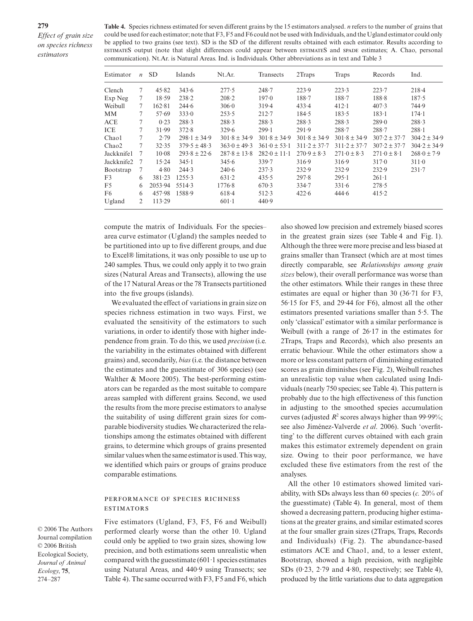**Table 4.** Species richness estimated for seven different grains by the 15 estimators analysed. *n* refers to the number of grains that could be used for each estimator; note that F3, F5 and F6 could not be used with Individuals, and the Ugland estimator could only be applied to two grains (see text). SD is the SD of the different results obtained with each estimator. Results according to ESTIMATES output (note that slight differences could appear between ESTIMATES and SPADE estimates; A. Chao, personal communication). Nt.Ar. is Natural Areas. Ind. is Individuals. Other abbreviations as in text and Table 3

| Estimator        | $\boldsymbol{n}$ | <b>SD</b> | Islands          | Nt.Ar.           | Transects                    | 2Traps                       | <b>Traps</b>                 | Records                     | Ind.             |
|------------------|------------------|-----------|------------------|------------------|------------------------------|------------------------------|------------------------------|-----------------------------|------------------|
| Clench           | 7                | 45.82     | 343.6            | 277.5            | 248.7                        | 223.9                        | 223.3                        | 223.7                       | 218.4            |
| Exp Neg          | 7                | 18.59     | 238.2            | 208.2            | 197.0                        | $188 - 7$                    | $188 - 7$                    | 188.8                       | 187.5            |
| Weibull          | 7                | 162.81    | 244.6            | 306.0            | 319.4                        | 433.4                        | 412.1                        | 407.3                       | 744.9            |
| MМ               |                  | 57.69     | 333.0            | 253.5            | $212 - 7$                    | 184.5                        | 183.5                        | $183 - 1$                   | 174.1            |
| <b>ACE</b>       |                  | 0.23      | 288.3            | 288.3            | 288.3                        | 288.3                        | 288.3                        | 289.0                       | 288.3            |
| ICE              |                  | 31.99     | 372.8            | 329.6            | 299.1                        | 291.9                        | $288 - 7$                    | $288 - 7$                   | $288 - 1$        |
| Chaol            | 7                | 2.79      | $298.1 \pm 34.9$ | $301.8 \pm 34.9$ | $301.8 \pm 34.9$             | $301.8 \pm 34.9$             | $301.8 \pm 34.9$             | $307.2 \pm 37.7$            | $304.2 \pm 34.9$ |
| Chao2            | 7                | 32.35     | $379.5 \pm 48.3$ | $363.0 \pm 49.3$ | $361 \cdot 0 \pm 53 \cdot 1$ | $311 \cdot 2 \pm 37 \cdot 7$ | $311 \cdot 2 \pm 37 \cdot 7$ | $307.2 \pm 37.7$            | $304.2 \pm 34.9$ |
| Jackknife1       | 7                | 10.08     | $293.8 \pm 22.6$ | $287.8 \pm 13.8$ | $282.0 \pm 11.1$             | $270.9 \pm 8.3$              | $271.0 \pm 8.3$              | $271 \cdot 0 \pm 8 \cdot 1$ | $268.0 \pm 7.9$  |
| Jackknife2       | 7                | 15.24     | 345.1            | 345.6            | 339.7                        | 316.9                        | 316.9                        | $317 - 0$                   | $311 - 0$        |
| <b>Bootstrap</b> | 7                | 4.80      | 244.3            | 240.6            | 237.3                        | 232.9                        | 232.9                        | 232.9                       | $231 - 7$        |
| F <sub>3</sub>   | 6                | 381.23    | 1255.3           | 631.2            | 435.5                        | 297.8                        | 295.1                        | $261-1$                     |                  |
| F5               | 6                | 2053.94   | 5514.3           | 1776.8           | 670.3                        | 334.7                        | 331.6                        | 278.5                       |                  |
| F6               | 6                | 457.98    | 1588.9           | 618.4            | 512.3                        | 422.6                        | 444.6                        | 415.2                       |                  |
| Ugland           | 2                | 113.29    |                  | $601-1$          | 440.9                        |                              |                              |                             |                  |

compute the matrix of Individuals. For the species– area curve estimator (Ugland) the samples needed to be partitioned into up to five different groups, and due to Excel® limitations, it was only possible to use up to 240 samples. Thus, we could only apply it to two grain sizes (Natural Areas and Transects), allowing the use of the 17 Natural Areas or the 78 Transects partitioned into the five groups (islands).

We evaluated the effect of variations in grain size on species richness estimation in two ways. First, we evaluated the sensitivity of the estimators to such variations, in order to identify those with higher independence from grain. To do this, we used *precision* (i.e. the variability in the estimates obtained with different grains) and, secondarily, *bias* (i.e. the distance between the estimates and the guesstimate of 306 species) (see Walther & Moore 2005). The best-performing estimators can be regarded as the most suitable to compare areas sampled with different grains. Second, we used the results from the more precise estimators to analyse the suitability of using different grain sizes for comparable biodiversity studies. We characterized the relationships among the estimates obtained with different grains, to determine which groups of grains presented similar values when the same estimator is used. This way, we identified which pairs or groups of grains produce comparable estimations.

# PERFORMANCE OF SPECIES RICHNESS **ESTIMATORS**

© 2006 The Authors Journal compilation © 2006 British Ecological Society, *Journal of Animal Ecology*, **75**, 274–287

Five estimators (Ugland, F3, F5, F6 and Weibull) performed clearly worse than the other 10. Ugland could only be applied to two grain sizes, showing low precision, and both estimations seem unrealistic when compared with the guesstimate  $(601)$  species estimates using Natural Areas, and 440·9 using Transects; see Table 4). The same occurred with F3, F5 and F6, which

also showed low precision and extremely biased scores in the greatest grain sizes (see Table 4 and Fig. 1). Although the three were more precise and less biased at grains smaller than Transect (which are at most times directly comparable, see *Relationships among grain sizes* below), their overall performance was worse than the other estimators. While their ranges in these three estimates are equal or higher than 30 (36·71 for F3, 56·15 for F5, and 29·44 for F6), almost all the other estimators presented variations smaller than 5·5. The only 'classical' estimator with a similar performance is Weibull (with a range of 26·17 in the estimates for 2Traps, Traps and Records), which also presents an erratic behaviour. While the other estimators show a more or less constant pattern of diminishing estimated scores as grain diminishes (see Fig. 2), Weibull reaches an unrealistic top value when calculated using Individuals (nearly 750 species; see Table 4). This pattern is probably due to the high effectiveness of this function in adjusting to the smoothed species accumulation curves (adjusted  $R^2$  scores always higher than 99.99%; see also Jiménez-Valverde *et al*. 2006). Such 'overfitting' to the different curves obtained with each grain makes this estimator extremely dependent on grain size. Owing to their poor performance, we have excluded these five estimators from the rest of the analyses.

All the other 10 estimators showed limited variability, with SDs always less than 60 species (*c.* 20% of the guesstimate) (Table 4). In general, most of them showed a decreasing pattern, producing higher estimations at the greater grains, and similar estimated scores at the four smaller grain sizes (2Traps, Traps, Records and Individuals) (Fig. 2). The abundance-based estimators ACE and Chao1, and, to a lesser extent, Bootstrap, showed a high precision, with negligible SDs (0·23, 2·79 and 4·80, respectively; see Table 4), produced by the little variations due to data aggregation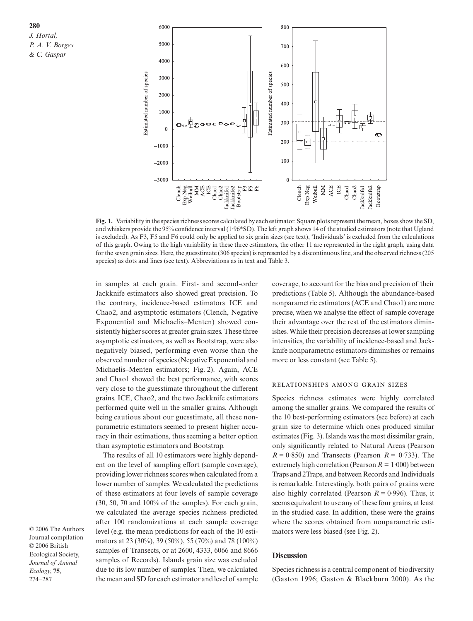

**Fig. 1.** Variability in the species richness scores calculated by each estimator. Square plots represent the mean, boxes show the SD, and whiskers provide the 95% confidence interval (1·96\*SD). The left graph shows 14 of the studied estimators (note that Ugland is excluded). As F3, F5 and F6 could only be applied to six grain sizes (see text), 'Individuals' is excluded from the calculations of this graph. Owing to the high variability in these three estimators, the other 11 are represented in the right graph, using data for the seven grain sizes. Here, the guesstimate (306 species) is represented by a discontinuous line, and the observed richness (205 species) as dots and lines (see text). Abbreviations as in text and Table 3.

in samples at each grain. First- and second-order Jackknife estimators also showed great precision. To the contrary, incidence-based estimators ICE and Chao2, and asymptotic estimators (Clench, Negative Exponential and Michaelis–Menten) showed consistently higher scores at greater grain sizes. These three asymptotic estimators, as well as Bootstrap, were also negatively biased, performing even worse than the observed number of species (Negative Exponential and Michaelis–Menten estimators; Fig. 2). Again, ACE and Chao1 showed the best performance, with scores very close to the guesstimate throughout the different grains. ICE, Chao2, and the two Jackknife estimators performed quite well in the smaller grains. Although being cautious about our guesstimate, all these nonparametric estimators seemed to present higher accuracy in their estimations, thus seeming a better option than asymptotic estimators and Bootstrap.

The results of all 10 estimators were highly dependent on the level of sampling effort (sample coverage), providing lower richness scores when calculated from a lower number of samples. We calculated the predictions of these estimators at four levels of sample coverage (30, 50, 70 and 100% of the samples). For each grain, we calculated the average species richness predicted after 100 randomizations at each sample coverage level (e.g. the mean predictions for each of the 10 estimators at 23 (30%), 39 (50%), 55 (70%) and 78 (100%) samples of Transects, or at 2600, 4333, 6066 and 8666 samples of Records). Islands grain size was excluded due to its low number of samples. Then, we calculated the mean and SD for each estimator and level of sample coverage, to account for the bias and precision of their predictions (Table 5). Although the abundance-based nonparametric estimators (ACE and Chao1) are more precise, when we analyse the effect of sample coverage their advantage over the rest of the estimators diminishes. While their precision decreases at lower sampling intensities, the variability of incidence-based and Jackknife nonparametric estimators diminishes or remains more or less constant (see Table 5).

#### RELATIONSHIPS AMONG GRAIN SIZES

Species richness estimates were highly correlated among the smaller grains. We compared the results of the 10 best-performing estimators (see before) at each grain size to determine which ones produced similar estimates (Fig. 3). Islands was the most dissimilar grain, only significantly related to Natural Areas (Pearson  $R = 0.850$  and Transects (Pearson  $R = 0.733$ ). The extremely high correlation (Pearson  $R = 1.000$ ) between Traps and 2Traps, and between Records and Individuals is remarkable. Interestingly, both pairs of grains were also highly correlated (Pearson  $R = 0.996$ ). Thus, it seems equivalent to use any of these four grains, at least in the studied case. In addition, these were the grains where the scores obtained from nonparametric estimators were less biased (see Fig. 2).

# **Discussion**

Species richness is a central component of biodiversity (Gaston 1996; Gaston & Blackburn 2000). As the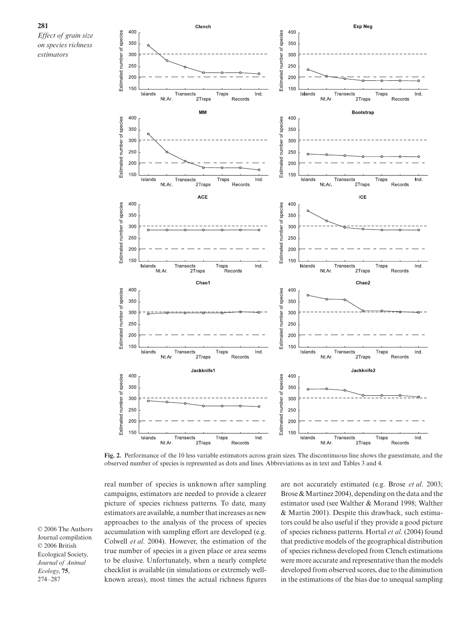# **281**

*Effect of grain size on species richness estimators*



**Fig. 2.** Performance of the 10 less variable estimators across grain sizes. The discontinuous line shows the guesstimate, and the observed number of species is represented as dots and lines. Abbreviations as in text and Tables 3 and 4.

real number of species is unknown after sampling campaigns, estimators are needed to provide a clearer picture of species richness patterns. To date, many estimators are available, a number that increases as new approaches to the analysis of the process of species accumulation with sampling effort are developed (e.g. Colwell *et al*. 2004). However, the estimation of the true number of species in a given place or area seems to be elusive. Unfortunately, when a nearly complete checklist is available (in simulations or extremely wellknown areas), most times the actual richness figures are not accurately estimated (e.g. Brose *et al*. 2003; Brose & Martinez 2004), depending on the data and the estimator used (see Walther & Morand 1998; Walther & Martin 2001). Despite this drawback, such estimators could be also useful if they provide a good picture of species richness patterns. Hortal *et al*. (2004) found that predictive models of the geographical distribution of species richness developed from Clench estimations were more accurate and representative than the models developed from observed scores, due to the diminution in the estimations of the bias due to unequal sampling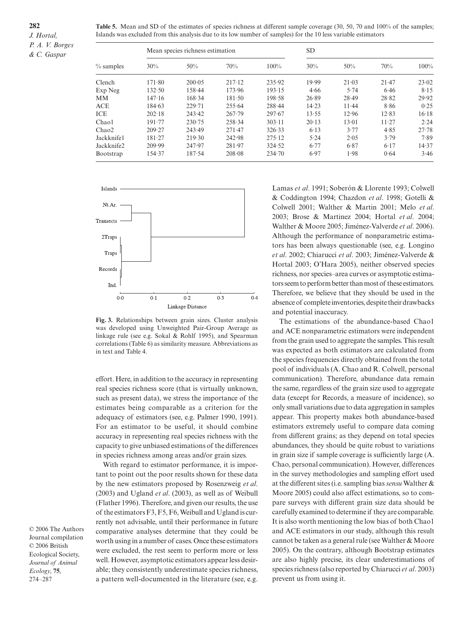Table 5. Mean and SD of the estimates of species richness at different sample coverage (30, 50, 70 and 100% of the samples; Islands was excluded from this analysis due to its low number of samples) for the 10 less variable estimators

|             | Mean species richness estimation |                |        |                | <b>SD</b> |           |           |           |
|-------------|----------------------------------|----------------|--------|----------------|-----------|-----------|-----------|-----------|
| $%$ samples | 30%                              | 50%            | 70%    | 100%           | 30%       | 50%       | 70%       | 100%      |
| Clench      | 171.80                           | $200 \cdot 05$ | 217.12 | 235.92         | 19.99     | $21 - 03$ | 21.47     | 23.02     |
| Exp Neg     | 132.50                           | 158.44         | 173.96 | 193.15         | 4.66      | 5.74      | 6.46      | 8.15      |
| <b>MM</b>   | 147.16                           | 168.34         | 181.50 | 198.58         | 26.89     | 28.49     | 28.82     | 29.92     |
| <b>ACE</b>  | 184.63                           | 229.71         | 255.64 | 288.44         | 14.23     | 11.44     | 8.86      | 0.25      |
| ICE         | 202.18                           | 243.42         | 267.79 | 297.67         | 13.55     | 12.96     | 12.83     | 16.18     |
| Chaol       | 191.77                           | 230.75         | 258.34 | $303 \cdot 11$ | 20.13     | 13.01     | $11 - 27$ | 2.24      |
| Chao2       | 209.27                           | 243.49         | 271.47 | 326.33         | 6.13      | 3.77      | 4.85      | $27 - 78$ |
| Jackknife1  | 181.27                           | 219.30         | 242.98 | 275.12         | 5.24      | 2.05      | 3.79      | 7.89      |
| Jackknife2  | 209.99                           | 247.97         | 281.97 | 324.52         | 6.77      | 6.87      | 6.17      | 14.37     |
| Bootstrap   | 154.37                           | 187.54         | 208.08 | 234.70         | 6.97      | 1.98      | 0.64      | 3.46      |



**Fig. 3.** Relationships between grain sizes. Cluster analysis was developed using Unweighted Pair-Group Average as linkage rule (see e.g. Sokal & Rohlf 1995), and Spearman correlations (Table 6) as similarity measure. Abbreviations as in text and Table 4.

effort. Here, in addition to the accuracy in representing real species richness score (that is virtually unknown, such as present data), we stress the importance of the estimates being comparable as a criterion for the adequacy of estimators (see, e.g. Palmer 1990, 1991). For an estimator to be useful, it should combine accuracy in representing real species richness with the capacity to give unbiased estimations of the differences in species richness among areas and/or grain sizes.

With regard to estimator performance, it is important to point out the poor results shown for these data by the new estimators proposed by Rosenzweig *et al*. (2003) and Ugland *et al*. (2003), as well as of Weibull (Flather 1996). Therefore, and given our results, the use of the estimators F3, F5, F6, Weibull and Ugland is currently not advisable, until their performance in future comparative analyses determine that they could be worth using in a number of cases. Once these estimators were excluded, the rest seem to perform more or less well. However, asymptotic estimators appear less desirable; they consistently underestimate species richness, a pattern well-documented in the literature (see, e.g.

Lamas *et al*. 1991; Soberón & Llorente 1993; Colwell & Coddington 1994; Chazdon *et al*. 1998; Gotelli & Colwell 2001; Walther & Martin 2001; Melo *et al*. 2003; Brose & Martinez 2004; Hortal *et al*. 2004; Walther & Moore 2005; Jiménez-Valverde *et al*. 2006). Although the performance of nonparametric estimators has been always questionable (see, e.g. Longino *et al*. 2002; Chiarucci *et al*. 2003; Jiménez-Valverde & Hortal 2003; O'Hara 2005), neither observed species richness, nor species–area curves or asymptotic estimators seem to perform better than most of these estimators. Therefore, we believe that they should be used in the absence of complete inventories, despite their drawbacks and potential inaccuracy.

The estimations of the abundance-based Chao1 and ACE nonparametric estimators were independent from the grain used to aggregate the samples. This result was expected as both estimators are calculated from the species frequencies directly obtained from the total pool of individuals (A. Chao and R. Colwell, personal communication). Therefore, abundance data remain the same, regardless of the grain size used to aggregate data (except for Records, a measure of incidence), so only small variations due to data aggregation in samples appear. This property makes both abundance-based estimators extremely useful to compare data coming from different grains; as they depend on total species abundances, they should be quite robust to variations in grain size if sample coverage is sufficiently large (A. Chao, personal communication). However, differences in the survey methodologies and sampling effort used at the different sites (i.e. sampling bias *sensu* Walther & Moore 2005) could also affect estimations, so to compare surveys with different grain size data should be carefully examined to determine if they are comparable. It is also worth mentioning the low bias of both Chao1 and ACE estimators in our study, although this result cannot be taken as a general rule (see Walther & Moore 2005). On the contrary, although Bootstrap estimates are also highly precise, its clear underestimations of species richness (also reported by Chiarucci *et al*. 2003) prevent us from using it.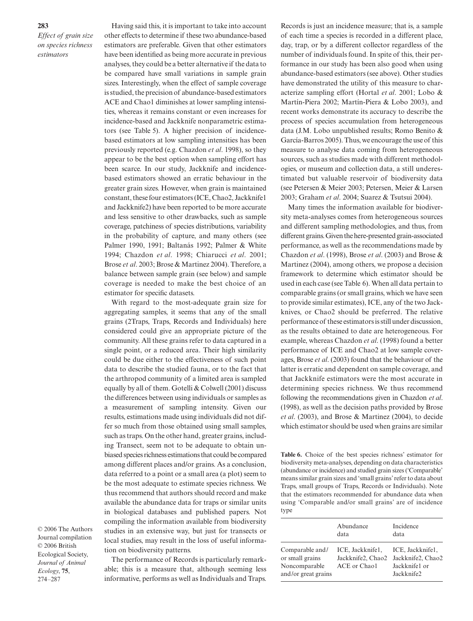Having said this, it is important to take into account other effects to determine if these two abundance-based estimators are preferable. Given that other estimators have been identified as being more accurate in previous analyses, they could be a better alternative if the data to be compared have small variations in sample grain sizes. Interestingly, when the effect of sample coverage is studied, the precision of abundance-based estimators ACE and Chao1 diminishes at lower sampling intensities, whereas it remains constant or even increases for incidence-based and Jackknife nonparametric estimators (see Table 5). A higher precision of incidencebased estimators at low sampling intensities has been previously reported (e.g. Chazdon *et al*. 1998), so they appear to be the best option when sampling effort has been scarce. In our study, Jackknife and incidencebased estimators showed an erratic behaviour in the greater grain sizes. However, when grain is maintained constant, these four estimators (ICE, Chao2, Jackknife1 and Jackknife2) have been reported to be more accurate and less sensitive to other drawbacks, such as sample coverage, patchiness of species distributions, variability in the probability of capture, and many others (see Palmer 1990, 1991; Baltanás 1992; Palmer & White 1994; Chazdon *et al*. 1998; Chiarucci *et al*. 2001; Brose *et al*. 2003; Brose & Martinez 2004). Therefore, a balance between sample grain (see below) and sample coverage is needed to make the best choice of an estimator for specific datasets.

With regard to the most-adequate grain size for aggregating samples, it seems that any of the small grains (2Traps, Traps, Records and Individuals) here considered could give an appropriate picture of the community. All these grains refer to data captured in a single point, or a reduced area. Their high similarity could be due either to the effectiveness of such point data to describe the studied fauna, or to the fact that the arthropod community of a limited area is sampled equally by all of them. Gotelli & Colwell (2001) discuss the differences between using individuals or samples as a measurement of sampling intensity. Given our results, estimations made using individuals did not differ so much from those obtained using small samples, such as traps. On the other hand, greater grains, including Transect, seem not to be adequate to obtain unbiased species richness estimations that could be compared among different places and/or grains. As a conclusion, data referred to a point or a small area (a plot) seem to be the most adequate to estimate species richness. We thus recommend that authors should record and make available the abundance data for traps or similar units in biological databases and published papers. Not compiling the information available from biodiversity studies in an extensive way, but just for transects or local studies, may result in the loss of useful information on biodiversity patterns.

© 2006 The Authors Journal compilation © 2006 British Ecological Society, *Journal of Animal Ecology*, **75**, 274–287

The performance of Records is particularly remarkable; this is a measure that, although seeming less informative, performs as well as Individuals and Traps.

Records is just an incidence measure; that is, a sample of each time a species is recorded in a different place, day, trap, or by a different collector regardless of the number of individuals found. In spite of this, their performance in our study has been also good when using abundance-based estimators (see above). Other studies have demonstrated the utility of this measure to characterize sampling effort (Hortal *et al*. 2001; Lobo & Martín-Piera 2002; Martín-Piera & Lobo 2003), and recent works demonstrate its accuracy to describe the process of species accumulation from heterogeneous data (J.M. Lobo unpublished results; Romo Benito & García-Barros 2005). Thus, we encourage the use of this measure to analyse data coming from heterogeneous sources, such as studies made with different methodologies, or museum and collection data, a still underestimated but valuable reservoir of biodiversity data (see Petersen & Meier 2003; Petersen, Meier & Larsen 2003; Graham *et al*. 2004; Suarez & Tsutsui 2004).

Many times the information available for biodiversity meta-analyses comes from heterogeneous sources and different sampling methodologies, and thus, from different grains. Given the here-presented grain-associated performance, as well as the recommendations made by Chazdon *et al*. (1998), Brose *et al*. (2003) and Brose & Martinez (2004), among others, we propose a decision framework to determine which estimator should be used in each case (see Table 6). When all data pertain to comparable grains (or small grains, which we have seen to provide similar estimates), ICE, any of the two Jackknives, or Chao2 should be preferred. The relative performance of these estimators is still under discussion, as the results obtained to date are heterogeneous. For example, whereas Chazdon *et al*. (1998) found a better performance of ICE and Chao2 at low sample coverages, Brose *et al*. (2003) found that the behaviour of the latter is erratic and dependent on sample coverage, and that Jackknife estimators were the most accurate in determining species richness. We thus recommend following the recommendations given in Chazdon *et al*. (1998), as well as the decision paths provided by Brose *et al*. (2003), and Brose & Martinez (2004), to decide which estimator should be used when grains are similar

**Table 6.** Choice of the best species richness' estimator for biodiversity meta-analyses, depending on data characteristics (abundance or incidence) and studied grain sizes ('Comparable' means similar grain sizes and 'small grains' refer to data about Traps, small groups of Traps, Records or Individuals). Note that the estimators recommended for abundance data when using 'Comparable and/or small grains' are of incidence type

|                                                                            | Abundance<br>data                                     | Incidence<br>data                                                    |
|----------------------------------------------------------------------------|-------------------------------------------------------|----------------------------------------------------------------------|
| Comparable and/<br>or small grains<br>Noncomparable<br>and/or great grains | ICE, Jackknifel,<br>Jackknife2. Chao2<br>ACE or Chaol | ICE, Jackknife1,<br>Jackknife2, Chao2<br>Jackknifel or<br>Jackknife2 |

#### **283**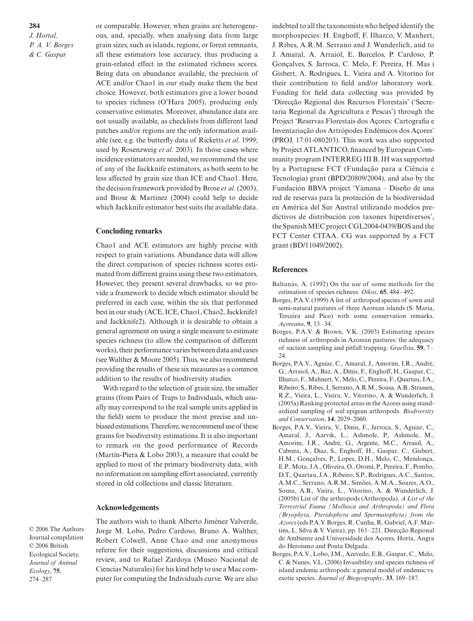or comparable. However, when grains are heterogeneous, and, specially, when analysing data from large grain sizes, such as islands, regions, or forest remnants, all these estimators lose accuracy, thus producing a grain-related effect in the estimated richness scores. Being data on abundance available, the precision of ACE and/or Chao1 in our study make them the best choice. However, both estimators give a lower bound to species richness (O'Hara 2005), producing only conservative estimates. Moreover, abundance data are not usually available, as checklists from different land patches and/or regions are the only information available (see, e.g. the butterfly data of Ricketts *et al*. 1999; used by Rosenzweig *et al*. 2003). In those cases where incidence estimators are needed, we recommend the use of any of the Jackknife estimators, as both seem to be less affected by grain size than ICE and Chao1. Here, the decision framework provided by Brose *et al*. (2003), and Brose & Martinez (2004) could help to decide which Jackknife estimator best suits the available data.

#### **Concluding remarks**

Chao1 and ACE estimators are highly precise with respect to grain variations. Abundance data will allow the direct comparison of species richness scores estimated from different grains using these two estimators. However, they present several drawbacks, so we provide a framework to decide which estimator should be preferred in each case, within the six that performed best in our study (ACE, ICE, Chao1, Chao2, Jackknife1 and Jackknife2). Although it is desirable to obtain a general agreement on using a single measure to estimate species richness (to allow the comparison of different works), their performance varies between data and cases (see Walther & Moore 2005). Thus, we also recommend providing the results of these six measures as a common addition to the results of biodiversity studies.

With regard to the selection of grain size, the smaller grains (from Pairs of Traps to Individuals, which usually may correspond to the real sample units applied in the field) seem to produce the most precise and unbiased estimations. Therefore, we recommend use of these grains for biodiversity estimations. It is also important to remark on the good performance of Records (Martín-Piera & Lobo 2003), a measure that could be applied to most of the primary biodiversity data, with no information on sampling effort associated, currently stored in old collections and classic literature.

## **Acknowledgements**

© 2006 The Authors Journal compilation © 2006 British Ecological Society, *Journal of Animal Ecology*, **75**, 274–287

The authors wish to thank Alberto Jiménez Valverde, Jorge M. Lobo, Pedro Cardoso, Bruno A. Walther, Robert Colwell, Anne Chao and one anonymous referee for their suggestions, discussions and critical review, and to Rafael Zardoya (Museo Nacional de Ciencias Naturales) for his kind help to use a Mac computer for computing the Individuals curve. We are also

indebted to all the taxonomists who helped identify the morphospecies: H. Enghoff, F. Ilharco, V. Manhert, J. Ribes, A.R.M. Serrano and J. Wunderlich, and to J. Amaral, A. Arraiol, E. Barcelos, P. Cardoso, P. Gonçalves, S. Jarroca, C. Melo, F. Pereira, H. Mas i Gisbert, A. Rodrigues, L. Vieira and A. Vitorino for their contribution to field and/or laboratory work. Funding for field data collecting was provided by 'Direcção Regional dos Recursos Florestais' ('Secretaria Regional da Agricultura e Pescas') through the Project 'Reservas Florestais dos Açores: Cartografia e Inventariação dos Artrópodes Endémicos dos Açores' (PROJ. 17.01-080203). This work was also supported by Project ATLANTICO, financed by European Community program INTERREG III B. JH was supported by a Portuguese FCT (Fundação para a Ciência e Tecnologia) grant (BPD/20809/2004), and also by the Fundación BBVA project 'Yámana – Diseño de una red de reservas para la protección de la biodiversidad en América del Sur Austral utilizando modelos predictivos de distribución con taxones hiperdiversos', the Spanish MEC project CGL2004-0439/BOS and the FCT Center CITAA. CG was supported by a FCT grant (BD/11049/2002).

#### **References**

- Baltanás, A. (1992) On the use of some methods for the estimation of species richness. *Oikos*, **65**, 484–492.
- Borges, P.A.V. (1999) A list of arthropod species of sown and semi-natural pastures of three Azorean islands (S. Maria, Terceira and Pico) with some conservation remarks. *Açoreana*, **9**, 13–34.
- Borges, P.A.V. & Brown, V.K. (2003) Estimating species richness of arthropods in Azorean pastures: the adequacy of suction sampling and pitfall trapping. *Graellsia*, **59**, 7– 24.
- Borges, P.A.V., Aguiar, C., Amaral, J., Amorim, I.R., André, G., Arraiol, A., Baz, A., Dinis, F., Enghoff, H., Gaspar, C., Ilharco, F., Mahnert, V., Melo, C., Pereira, F., Quartau, J.A., Ribeiro, S., Ribes, J., Serrano, A.R.M., Sousa, A.B., Strassen, R.Z., Vieira, L., Vieira, V., Vitorino, A. & Wunderlich, J. (2005a) Ranking protected areas in the Azores using standardized sampling of soil epigean arthropods. *Biodiversity and Conservation*, **14**, 2029–2060.
- Borges, P.A.V., Vieira, V., Dinis, F., Jarroca, S., Aguiar, C., Amaral, J., Aarvik, L., Ashmole, P., Ashmole, M., Amorim, I.R., André, G., Argente, M.C., Arraiol, A., Cabrera, A., Diaz, S., Enghoff, H., Gaspar, C., Gisbert, H.M., Gonçalves, P., Lopes, D.H., Melo, C., Mendonça, E.P., Mota, J.A., Oliveira, O., Oromí, P., Pereira, F., Pombo, D.T., Quartau, J.A., Ribeiro, S.P., Rodrigues, A.C., Santos, A.M.C., Serrano, A.R.M., Simões, A.M.A., Soares, A.O., Sousa, A.B., Vieira, L., Vitorino, A. & Wunderlich, J. (2005b) List of the arthropods (Arthropoda). *A List of the Terrestrial Fauna (Mollusca and Arthropoda) and Flora (Bryophyta, Pteridophyta and Spermatophyta) from the Azores*(eds P.A.V. Borges, R. Cunha, R. Gabriel, A.F. Martins, L. Silva & V. Vieira), pp. 163–221. Direcção Regional de Ambiente and Universidade dos Açores, Horta, Angra do Heroísmo and Ponta Delgada.
- Borges, P.A.V., Lobo, J.M., Azevedo, E.B., Gaspar, C., Melo, C. & Nunes, V.L. (2006) Invasibility and species richness of island endemic arthropods: a general model of endemic vs. exotic species. *Journal of Biogeography*, **33**, 169–187.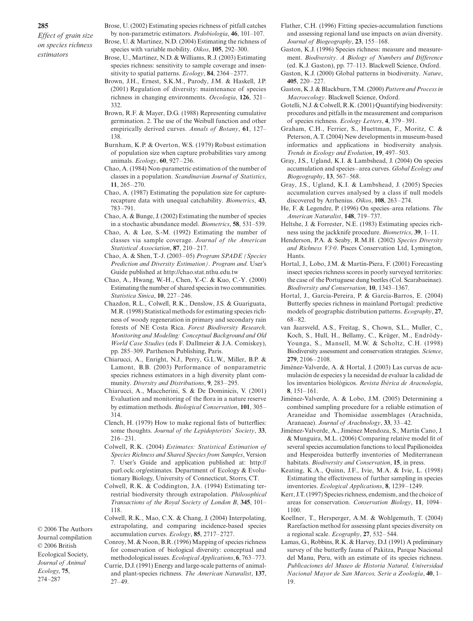- Brose, U. (2002) Estimating species richness of pitfall catches by non-parametric estimators. *Pedobiologia*, **46**, 101–107.
- Brose, U. & Martinez, N.D. (2004) Estimating the richness of species with variable mobility. *Oikos*, **105**, 292–300.
- Brose, U., Martinez, N.D. & Williams, R.J. (2003) Estimating species richness: sensitivity to sample coverage and insensitivity to spatial patterns. *Ecology*, **84**, 2364–2377.
- Brown, J.H., Ernest, S.K.M., Parody, J.M. & Haskell, J.P. (2001) Regulation of diversity: maintenance of species richness in changing environments. *Oecologia*, **126**, 321– 332.
- Brown, R.F. & Mayer, D.G. (1988) Representing cumulative germination. 2. The use of the Weibull function and other empirically derived curves. *Annals of Botany*, **61**, 127– 138.
- Burnham, K.P. & Overton, W.S. (1979) Robust estimation of population size when capture probabilities vary among animals. *Ecology*, **60**, 927–236.
- Chao, A. (1984) Non-parametric estimation of the number of classes in a population. *Scandinavian Journal of Statistics*, **11**, 265–270.
- Chao, A. (1987) Estimating the population size for capturerecapture data with unequal catchability. *Biometrics*, **43**, 783–791.
- Chao, A. & Bunge, J. (2002) Estimating the number of species in a stochastic abundance model. *Biometrics*, **58**, 531–539.
- Chao, A. & Lee, S.-M. (1992) Estimating the number of classes via sample coverage. *Journal of the American Statistical Association*, **87**, 210–217.
- Chao, A. & Shen, T.-J. (2003–05) *Program SPADE (Species Prediction and Diversity Estimation)*. *Program and*. User's Guide published at <http://chao.stat.nthu.edu.tw>
- Chao, A., Hwang, W.-H., Chen, Y.-C. & Kuo, C.-Y. (2000) Estimating the number of shared species in two communities. *Statistica Sinica*, **10**, 227–246.
- Chazdon, R.L., Colwell, R.K., Denslow, J.S. & Guariguata, M.R. (1998) Statistical methods for estimating species richness of woody regeneration in primary and secondary rain forests of NE Costa Rica. *Forest Biodiversity Research, Monitoring and Modeling: Conceptual Background and Old World Case Studies* (eds F. Dallmeier & J.A. Comiskey), pp. 285–309. Parthenon Publishing, Paris.
- Chiarucci, A., Enright, N.J., Perry, G.L.W., Miller, B.P. & Lamont, B.B. (2003) Performance of nonparametric species richness estimators in a high diversity plant community. *Diversity and Distributions*, **9**, 283–295.
- Chiarucci, A., Maccherini, S. & De Dominicis, V. (2001) Evaluation and monitoring of the flora in a nature reserve by estimation methods. *Biological Conservation*, **101**, 305– 314.
- Clench, H. (1979) How to make regional fists of butterflies: some thoughts. *Journal of the Lepidopterists' Society*, **33**, 216–231.
- Colwell, R.K. (2004) *Estimates: Statistical Estimation of Species Richness and Shared Species from Samples*, Version 7. User's Guide and application published at: <http://> purl.oclc.org/estimates. Department of Ecology & Evolutionary Biology, University of Connecticut, Storrs, CT.
- Colwell, R.K. & Coddington, J.A. (1994) Estimating terrestrial biodiversity through extrapolation. *Philosophical Transactions of the Royal Society of London B*, **345**, 101– 118.
- Colwell, R.K., Mao, C.X. & Chang, J. (2004) Interpolating, extrapolating, and comparing incidence-based species accumulation curves. *Ecology*, **85**, 2717–2727.

Journal compilation © 2006 British Ecological Society, *Journal of Animal Ecology*, **75**, 274–287

© 2006 The Authors

- Conroy, M. & Noon, B.R. (1996) Mapping of species richness for conservation of biological diversity: conceptual and methodological issues. *Ecological Applications*, **6**, 763–773.
- Currie, D.J. (1991) Energy and large-scale patterns of animaland plant-species richness. *The American Naturalist*, **137**, 27–49.
- Flather, C.H. (1996) Fitting species-accumulation functions and assessing regional land use impacts on avian diversity. *Journal of Biogeography*, **23**, 155–168.
- Gaston, K.J. (1996) Species richness: measure and measurement. *Biodiversity*. *A Biology of Numbers and Difference* (ed. K.J. Gaston), pp. 77–113. Blackwell Science, Oxford.
- Gaston, K.J. (2000) Global patterns in biodiversity. *Nature*, **405**, 220–227.
- Gaston, K.J. & Blackburn, T.M. (2000) *Pattern and Process in Macroecology*. Blackwell Science, Oxford.
- Gotelli, N.J. & Colwell, R.K. (2001) Quantifying biodiversity: procedures and pitfalls in the measurement and comparison of species richness. *Ecology Letters*, **4**, 379–391.
- Graham, C.H., Ferrier, S., Huettman, F., Moritz, C. & Peterson, A.T. (2004) New developments in museum-based informatics and applications in biodiversity analysis. *Trends in Ecology and Evolution*, **19**, 497–503.
- Gray, J.S., Ugland, K.I. & Lambshead, J. (2004) On species accumulation and species–area curves. *Global Ecology and Biogeography*, **13**, 567–568.
- Gray, J.S., Ugland, K.I. & Lambshead, J. (2005) Species accumulation curves analysed by a class if null models discovered by Arrhenius. *Oikos*, **108**, 263–274.
- He, F. & Legendre, P. (1996) On species–area relations. *The American Naturalist*, **148**, 719–737.
- Heltshe, J. & Forrester, N.E. (1983) Estimating species richness using the jackknife procedure. *Biometrics*, **39**, 1–11.
- Henderson, P.A. & Seaby, R.M.H. (2002) *Species Diversity and Richness V3*·*0*. Pisces Conservation Ltd, Lymington, Hants.
- Hortal, J., Lobo, J.M. & Martín-Piera, F. (2001) Forecasting insect species richness scores in poorly surveyed territories: the case of the Portuguese dung beetles (Col. Scarabaeinae). *Biodiversity and Conservation*, **10**, 1343–1367.
- Hortal, J., Garcia-Pereira, P. & García-Barros, E. (2004) Butterfly species richness in mainland Portugal: predictive models of geographic distribution patterns. *Ecography*, **27**, 68–82.
- van Jaarsveld, A.S., Freitag, S., Chown, S.L., Muller, C., Koch, S., Hull, H., Bellamy, C., Krüger, M., Endrödy-Younga, S., Mansell, M.W. & Scholtz, C.H. (1998) Biodiversity assessment and conservation strategies. *Science*, **279**, 2106–2108.
- Jiménez-Valverde, A. & Hortal, J. (2003) Las curvas de acumulación de especies y la necesidad de evaluar la calidad de los inventarios biológicos. *Revista Ibérica de Aracnología*, **8**, 151–161.
- Jiménez-Valverde, A. & Lobo, J.M. (2005) Determining a combined sampling procedure for a reliable estimation of Araneidae and Thomisidae assemblages (Arachnida, Aranaeae). *Journal of Arachnology*, **33**, 33–42.
- Jiménez-Valverde, A., Jiménez Mendoza, S., Martín Cano, J. & Munguira, M.L. (2006) Comparing relative model fit of several species accumulation functions to local Papilionoidea and Hesperoidea butterfly inventories of Mediterranean habitats. *Biodiversity and Conservation*, **15**, in press.
- Keating, K.A., Quinn, J.F., Ivie, M.A. & Ivie, L. (1998) Estimating the effectiveness of further sampling in species inventories. *Ecological Applications*, **8**, 1239–1249.
- Kerr, J.T. (1997) Species richness, endemism, and the choice of areas for conservation. *Conservation Biology*, **11**, 1094– 1100.
- Koellner, T., Hersperger, A.M. & Wohlgemuth, T. (2004) Rarefaction method for assessing plant species diversity on a regional scale. *Ecography*, **27**, 532–544.
- Lamas, G., Robbins, R.K. & Harvey, D.J. (1991) A preliminary survey of the butterfly fauna of Pakitza, Parque Nacional del Manu, Peru, with an estimate of its species richness. *Publicaciones del Museo de Historia Natural, Universidad Nacional Mayor de San Marcos, Serie a Zoología*, **40**, 1– 19.

# **285**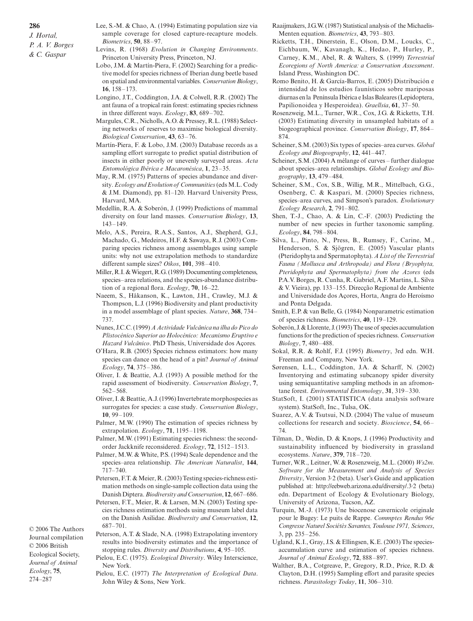- Lee, S.-M. & Chao, A. (1994) Estimating population size via sample coverage for closed capture-recapture models. *Biometrics*, **50**, 88–97.
- Levins, R. (1968) *Evolution in Changing Environments*. Princeton University Press, Princeton, NJ.
- Lobo, J.M. & Martín-Piera, F. (2002) Searching for a predictive model for species richness of Iberian dung beetle based on spatial and environmental variables. *Conservation Biology*, **16**, 158–173.
- Longino, J.T., Coddington, J.A. & Colwell, R.R. (2002) The ant fauna of a tropical rain forest: estimating species richness in three different ways. *Ecology*, **83**, 689–702.
- Margules, C.R., Nicholls, A.O. & Pressey, R.L. (1988) Selecting networks of reserves to maximise biological diversity. *Biological Conservation*, **43**, 63–76.
- Martín-Piera, F. & Lobo, J.M. (2003) Database records as a sampling effort surrogate to predict spatial distribution of insects in either poorly or unevenly surveyed areas. *Acta Entomológica Ibérica e Macaronésica*, **1**, 23–35.
- May, R.M. (1975) Patterns of species abundance and diversity. *Ecology and Evolution of Communities*(eds M.L. Cody & J.M. Diamond), pp. 81–120. Harvard University Press, Harvard, MA.
- Medellín, R.A. & Soberón, J. (1999) Predictions of mammal diversity on four land masses. *Conservation Biology*, **13**, 143–149.
- Melo, A.S., Pereira, R.A.S., Santos, A.J., Shepherd, G.J., Machado, G., Medeiros, H.F. & Sawaya, R.J. (2003) Comparing species richness among assemblages using sample units: why not use extrapolation methods to standardize different sample sizes? *Oikos*, **101**, 398–410.
- Miller, R.I. & Wiegert, R.G. (1989) Documenting completeness, species–area relations, and the species-abundance distribution of a regional flora. *Ecology*, **70**, 16–22.
- Naeem, S., Håkanson, K., Lawton, J.H., Crawley, M.J. & Thompson, L.J. (1996) Biodiversity and plant productivity in a model assemblage of plant species. *Nature*, **368**, 734– 737.
- Nunes, J.C.C. (1999) *A Actividade Vulcânica na ilha do Pico do Plistocénico Superior ao Holocénico: Mecanismo Eruptivo e Hazard Vulcânico*. PhD Thesis, Universidade dos Açores.
- O'Hara, R.B. (2005) Species richness estimators: how many species can dance on the head of a pin? *Journal of Animal Ecology*, **74**, 375–386.
- Oliver, I. & Beattie, A.J. (1993) A possible method for the rapid assessment of biodiversity. *Conservation Biology*, **7**, 562–568.
- Oliver, I. & Beattie, A.J. (1996) Invertebrate morphospecies as surrogates for species: a case study. *Conservation Biology*, **10**, 99–109.
- Palmer, M.W. (1990) The estimation of species richness by extrapolation. *Ecology*, **71**, 1195–1198.
- Palmer, M.W. (1991) Estimating species richness: the secondorder Jackknife reconsidered. *Ecology*, **72**, 1512–1513.
- Palmer, M.W. & White, P.S. (1994) Scale dependence and the species–area relationship. *The American Naturalist*, **144**, 717–740.
- Petersen, F.T. & Meier, R. (2003) Testing species-richness estimation methods on single-sample collection data using the Danish Diptera. *Biodiversity and Conservation*, **12**, 667–686.
- Petersen, F.T., Meier, R. & Larsen, M.N. (2003) Testing species richness estimation methods using museum label data on the Danish Asilidae. *Biodiversity and Conservation*, **12**, 687–701.

© 2006 The Authors Journal compilation © 2006 British Ecological Society, *Journal of Animal Ecology*, **75**, 274–287

- Peterson, A.T. & Slade, N.A. (1998) Extrapolating inventory results into biodiversity estimates and the importance of stopping rules. *Diversity and Distributions*, **4**, 95–105.
- Pielou, E.C. (1975). *Ecological Diversity*. Wiley Interscience, New York.
- Pielou, E.C. (1977) *The Interpretation of Ecological Data*. John Wiley & Sons, New York.
- Raaijmakers, J.G.W. (1987) Statistical analysis of the Michaelis-Menten equation. *Biometrics*, **43**, 793–803.
- Ricketts, T.H., Dinerstein, E., Olson, D.M., Loucks, C., Eichbaum, W., Kavanagh, K., Hedao, P., Hurley, P., Carney, K.M., Abel, R. & Walters, S. (1999) *Terrestrial Ecoregions of North America: a Conservation Assessment*. Island Press, Washington DC.
- Romo Benito, H. & García-Barros, E. (2005) Distribución e intensidad de los estudios faunísticos sobre mariposas diurnas en la Península Ibérica e Islas Baleares (Lepidoptera, Papilionoidea y Hesperoidea). *Graellsia*, **61**, 37–50.
- Rosenzweig, M.L., Turner, W.R., Cox, J.G. & Ricketts, T.H. (2003) Estimating diversity in unsampled habitats of a biogeographical province. *Conservation Biology*, **17**, 864– 874.
- Scheiner, S.M. (2003) Six types of species–area curves. *Global Ecology and Biogeography*, **12**, 441–447.
- Scheiner, S.M. (2004) A mélange of curves further dialogue about species–area relationships. *Global Ecology and Biogeography*, **13**, 479–484.
- Scheiner, S.M., Cox, S.B., Willig, M.R., Mittelbach, G.G., Osenberg, C. & Kaspari, M. (2000) Species richness, species–area curves, and Simpson's paradox. *Evolutionary Ecology Research*, **2**, 791–802.
- Shen, T.-J., Chao, A. & Lin, C.-F. (2003) Predicting the number of new species in further taxonomic sampling. *Ecology*, **84**, 798–804.
- Silva, L., Pinto, N., Press, B., Rumsey, F., Carine, M., Henderson, S. & Sjögren, E. (2005) Vascular plants (Pteridophyta and Spermatophyta). *A List of the Terrestrial Fauna (Mollusca and Arthropoda) and Flora (Bryophyta, Pteridophyta and Spermatophyta) from the Azores* (eds P.A.V. Borges, R. Cunha, R. Gabriel, A.F. Martins, L. Silva & V. Vieira), pp. 133–155. Direcção Regional de Ambiente and Universidade dos Açores, Horta, Angra do Heroísmo and Ponta Delgada.
- Smith, E.P. & van Belle, G. (1984) Nonparametric estimation of species richness. *Biometrics*, **40**, 119–129.
- Soberón, J. & Llorente, J. (1993) The use of species accumulation functions for the prediction of species richness. *Conservation Biology*, **7**, 480–488.
- Sokal, R.R. & Rohlf, F.J. (1995) *Biometry*, 3rd edn. W.H. Freeman and Company, New York.
- Sørensen, L.L., Coddington, J.A. & Scharff, N. (2002) Inventorying and estimating subcanopy spider diversity using semiquantitative sampling methods in an afromontane forest. *Environmental Entomology*, **31**, 319–330.
- StatSoft, I. (2001) STATISTICA (data analysis software system). StatSoft, Inc., Tulsa, OK.
- Suarez, A.V. & Tsutsui, N.D. (2004) The value of museum collections for research and society. *Bioscience*, **54**, 66– 74.
- Tilman, D., Wedin, D. & Knops, J. (1996) Productivity and sustainability influenced by biodiversity in grassland ecosystems. *Nature*, **379**, 718–720.
- Turner, W.R., Leitner, W. & Rosenzweig, M.L. (2000) *Ws2m*. *Software for the Measurement and Analysis of Species Diversity*, Version 3·2 (beta). User's Guide and application published at: [http://eebweb.arizona.edu/diversity/.3·2](http://eebweb.arizona.edu/diversity/.3�2) (beta) edn. Department of Ecology & Evolutionary Biology, University of Arizona, Tucson, AZ.
- Turquin, M.-J. (1973) Une biocenose cavernicole originale pour le Bugey: Le puits de Rappe. *Commptes Rendus 96e Congresse Naturel Sociétès Savantes, Toulouse 1971, Sciences*, 3, pp. 235–256.
- Ugland, K.I., Gray, J.S. & Ellingsen, K.E. (2003) The speciesaccumulation curve and estimation of species richness. *Journal of Animal Ecology*, **72**, 888–897.
- Walther, B.A., Cotgreave, P., Gregory, R.D., Price, R.D. & Clayton, D.H. (1995) Sampling effort and parasite species richness. *Parasitology Today*, **11**, 306–310.

**286**